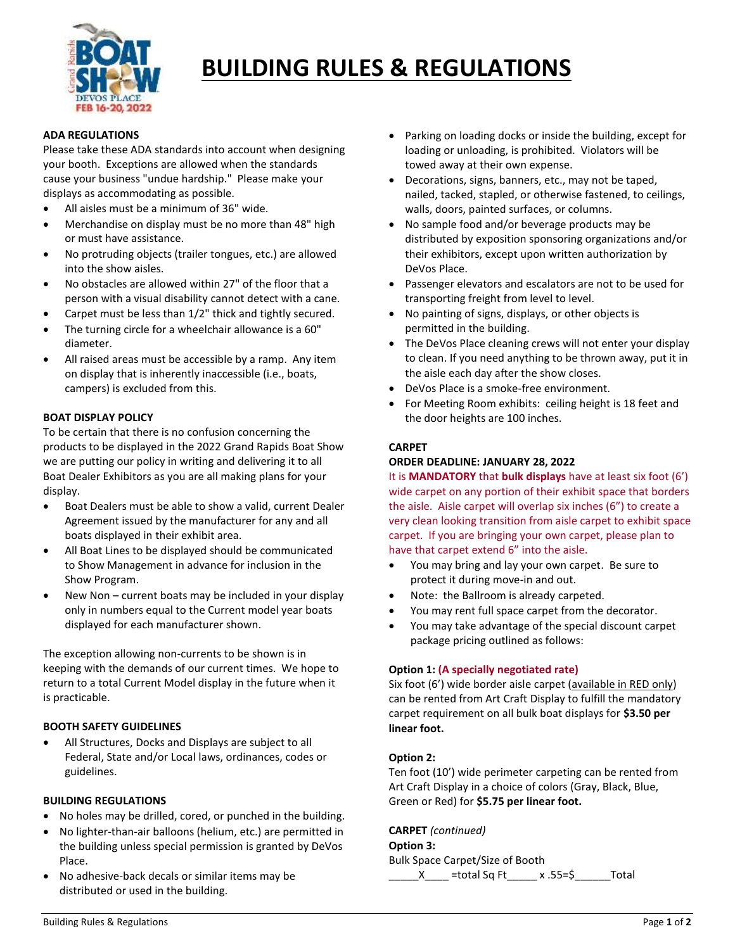

# **BUILDING RULES & REGULATIONS**

#### **ADA REGULATIONS**

Please take these ADA standards into account when designing your booth. Exceptions are allowed when the standards cause your business "undue hardship." Please make your displays as accommodating as possible.

- All aisles must be a minimum of 36" wide.
- Merchandise on display must be no more than 48" high or must have assistance.
- No protruding objects (trailer tongues, etc.) are allowed into the show aisles.
- No obstacles are allowed within 27" of the floor that a person with a visual disability cannot detect with a cane.
- Carpet must be less than 1/2" thick and tightly secured.
- The turning circle for a wheelchair allowance is a 60" diameter.
- All raised areas must be accessible by a ramp. Any item on display that is inherently inaccessible (i.e., boats, campers) is excluded from this.

# **BOAT DISPLAY POLICY**

To be certain that there is no confusion concerning the products to be displayed in the 2022 Grand Rapids Boat Show we are putting our policy in writing and delivering it to all Boat Dealer Exhibitors as you are all making plans for your display.

- Boat Dealers must be able to show a valid, current Dealer Agreement issued by the manufacturer for any and all boats displayed in their exhibit area.
- All Boat Lines to be displayed should be communicated to Show Management in advance for inclusion in the Show Program.
- New Non current boats may be included in your display only in numbers equal to the Current model year boats displayed for each manufacturer shown.

The exception allowing non-currents to be shown is in keeping with the demands of our current times. We hope to return to a total Current Model display in the future when it is practicable.

### **BOOTH SAFETY GUIDELINES**

 All Structures, Docks and Displays are subject to all Federal, State and/or Local laws, ordinances, codes or guidelines.

### **BUILDING REGULATIONS**

- No holes may be drilled, cored, or punched in the building.
- No lighter-than-air balloons (helium, etc.) are permitted in the building unless special permission is granted by DeVos Place.
- No adhesive-back decals or similar items may be distributed or used in the building.
- Parking on loading docks or inside the building, except for loading or unloading, is prohibited. Violators will be towed away at their own expense.
- Decorations, signs, banners, etc., may not be taped, nailed, tacked, stapled, or otherwise fastened, to ceilings, walls, doors, painted surfaces, or columns.
- No sample food and/or beverage products may be distributed by exposition sponsoring organizations and/or their exhibitors, except upon written authorization by DeVos Place.
- Passenger elevators and escalators are not to be used for transporting freight from level to level.
- No painting of signs, displays, or other objects is permitted in the building.
- The DeVos Place cleaning crews will not enter your display to clean. If you need anything to be thrown away, put it in the aisle each day after the show closes.
- DeVos Place is a smoke-free environment.
- For Meeting Room exhibits: ceiling height is 18 feet and the door heights are 100 inches.

### **CARPET**

# **ORDER DEADLINE: JANUARY 28, 2022**

It is **MANDATORY** that **bulk displays** have at least six foot (6') wide carpet on any portion of their exhibit space that borders the aisle. Aisle carpet will overlap six inches (6") to create a very clean looking transition from aisle carpet to exhibit space carpet. If you are bringing your own carpet, please plan to have that carpet extend 6" into the aisle.

- You may bring and lay your own carpet. Be sure to protect it during move-in and out.
- Note: the Ballroom is already carpeted.
- You may rent full space carpet from the decorator.
- You may take advantage of the special discount carpet package pricing outlined as follows:

# **Option 1: (A specially negotiated rate)**

Six foot (6') wide border aisle carpet (available in RED only) can be rented from Art Craft Display to fulfill the mandatory carpet requirement on all bulk boat displays for **\$3.50 per linear foot.** 

### **Option 2:**

Ten foot (10') wide perimeter carpeting can be rented from Art Craft Display in a choice of colors (Gray, Black, Blue, Green or Red) for **\$5.75 per linear foot.**

## **CARPET** *(continued)*

**Option 3:** Bulk Space Carpet/Size of Booth \_\_\_\_\_X\_\_\_\_ =total Sq Ft\_\_\_\_\_ x .55=\$\_\_\_\_\_\_Total